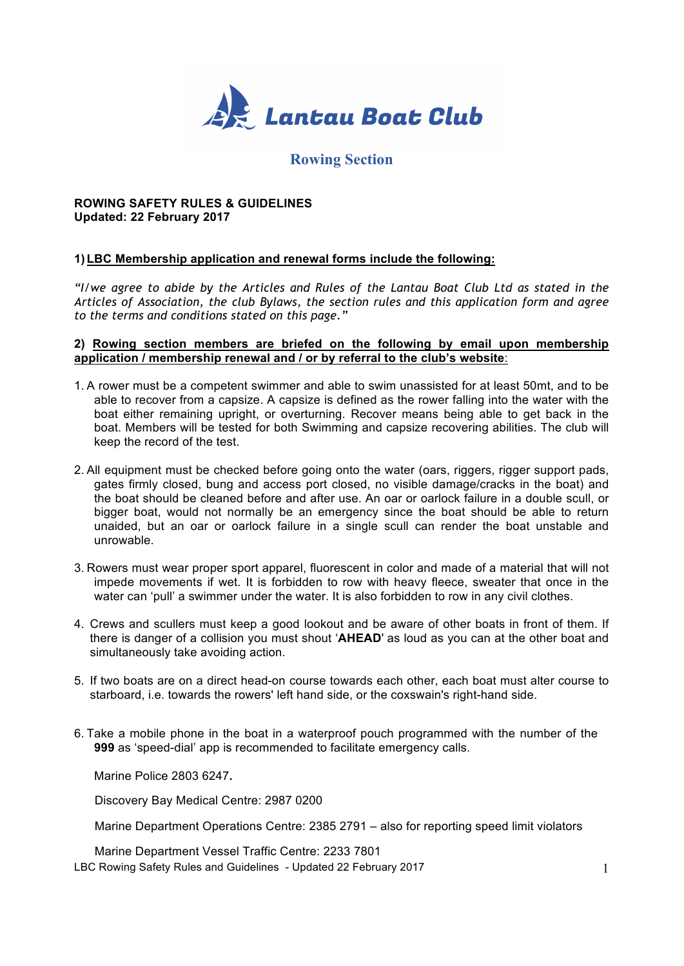

# **Rowing Section**

# **ROWING SAFETY RULES & GUIDELINES Updated: 22 February 2017**

# **1)LBC Membership application and renewal forms include the following:**

*"I/we agree to abide by the Articles and Rules of the Lantau Boat Club Ltd as stated in the Articles of Association, the club Bylaws, the section rules and this application form and agree to the terms and conditions stated on this page."*

#### **2) Rowing section members are briefed on the following by email upon membership application / membership renewal and / or by referral to the club's website**:

- 1. A rower must be a competent swimmer and able to swim unassisted for at least 50mt, and to be able to recover from a capsize. A capsize is defined as the rower falling into the water with the boat either remaining upright, or overturning. Recover means being able to get back in the boat. Members will be tested for both Swimming and capsize recovering abilities. The club will keep the record of the test.
- 2. All equipment must be checked before going onto the water (oars, riggers, rigger support pads, gates firmly closed, bung and access port closed, no visible damage/cracks in the boat) and the boat should be cleaned before and after use. An oar or oarlock failure in a double scull, or bigger boat, would not normally be an emergency since the boat should be able to return unaided, but an oar or oarlock failure in a single scull can render the boat unstable and unrowable.
- 3. Rowers must wear proper sport apparel, fluorescent in color and made of a material that will not impede movements if wet. It is forbidden to row with heavy fleece, sweater that once in the water can 'pull' a swimmer under the water. It is also forbidden to row in any civil clothes.
- 4. Crews and scullers must keep a good lookout and be aware of other boats in front of them. If there is danger of a collision you must shout '**AHEAD**' as loud as you can at the other boat and simultaneously take avoiding action.
- 5. If two boats are on a direct head-on course towards each other, each boat must alter course to starboard, i.e. towards the rowers' left hand side, or the coxswain's right-hand side.
- 6. Take a mobile phone in the boat in a waterproof pouch programmed with the number of the **999** as 'speed-dial' app is recommended to facilitate emergency calls.

Marine Police 2803 6247**.**

Discovery Bay Medical Centre: 2987 0200

Marine Department Operations Centre: 2385 2791 – also for reporting speed limit violators

LBC Rowing Safety Rules and Guidelines - Updated 22 February 2017 Marine Department Vessel Traffic Centre: 2233 7801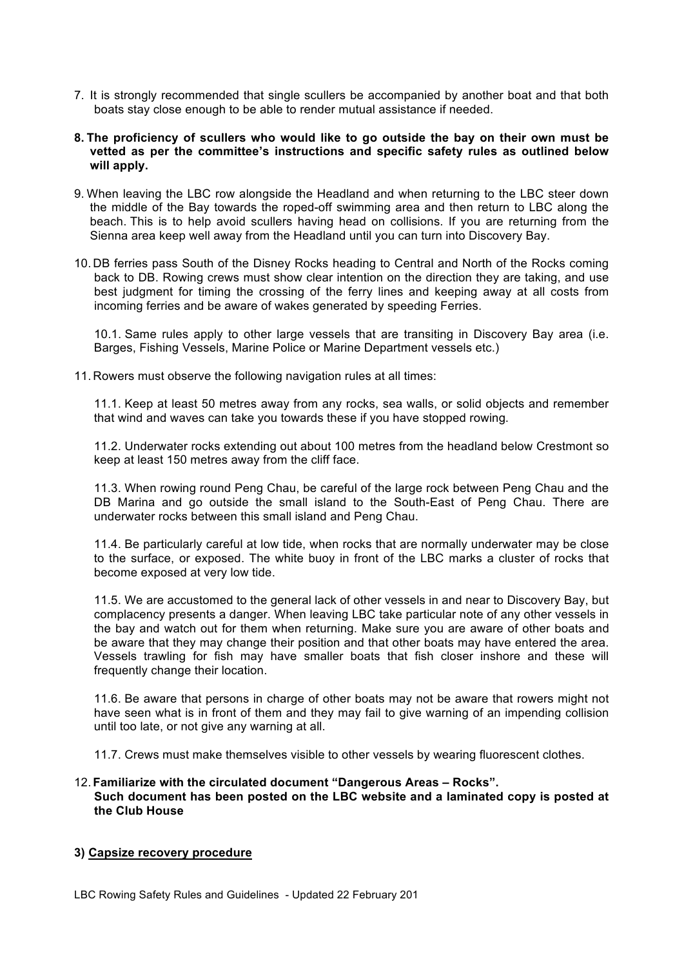- 7. It is strongly recommended that single scullers be accompanied by another boat and that both boats stay close enough to be able to render mutual assistance if needed.
- **8. The proficiency of scullers who would like to go outside the bay on their own must be vetted as per the committee's instructions and specific safety rules as outlined below will apply.**
- 9. When leaving the LBC row alongside the Headland and when returning to the LBC steer down the middle of the Bay towards the roped-off swimming area and then return to LBC along the beach. This is to help avoid scullers having head on collisions. If you are returning from the Sienna area keep well away from the Headland until you can turn into Discovery Bay.
- 10. DB ferries pass South of the Disney Rocks heading to Central and North of the Rocks coming back to DB. Rowing crews must show clear intention on the direction they are taking, and use best judgment for timing the crossing of the ferry lines and keeping away at all costs from incoming ferries and be aware of wakes generated by speeding Ferries.

10.1. Same rules apply to other large vessels that are transiting in Discovery Bay area (i.e. Barges, Fishing Vessels, Marine Police or Marine Department vessels etc.)

11. Rowers must observe the following navigation rules at all times:

11.1. Keep at least 50 metres away from any rocks, sea walls, or solid objects and remember that wind and waves can take you towards these if you have stopped rowing.

11.2. Underwater rocks extending out about 100 metres from the headland below Crestmont so keep at least 150 metres away from the cliff face.

11.3. When rowing round Peng Chau, be careful of the large rock between Peng Chau and the DB Marina and go outside the small island to the South-East of Peng Chau. There are underwater rocks between this small island and Peng Chau.

11.4. Be particularly careful at low tide, when rocks that are normally underwater may be close to the surface, or exposed. The white buoy in front of the LBC marks a cluster of rocks that become exposed at very low tide.

11.5. We are accustomed to the general lack of other vessels in and near to Discovery Bay, but complacency presents a danger. When leaving LBC take particular note of any other vessels in the bay and watch out for them when returning. Make sure you are aware of other boats and be aware that they may change their position and that other boats may have entered the area. Vessels trawling for fish may have smaller boats that fish closer inshore and these will frequently change their location.

11.6. Be aware that persons in charge of other boats may not be aware that rowers might not have seen what is in front of them and they may fail to give warning of an impending collision until too late, or not give any warning at all.

11.7. Crews must make themselves visible to other vessels by wearing fluorescent clothes.

#### 12. **Familiarize with the circulated document "Dangerous Areas – Rocks". Such document has been posted on the LBC website and a laminated copy is posted at the Club House**

# **3) Capsize recovery procedure**

LBC Rowing Safety Rules and Guidelines - Updated 22 February 201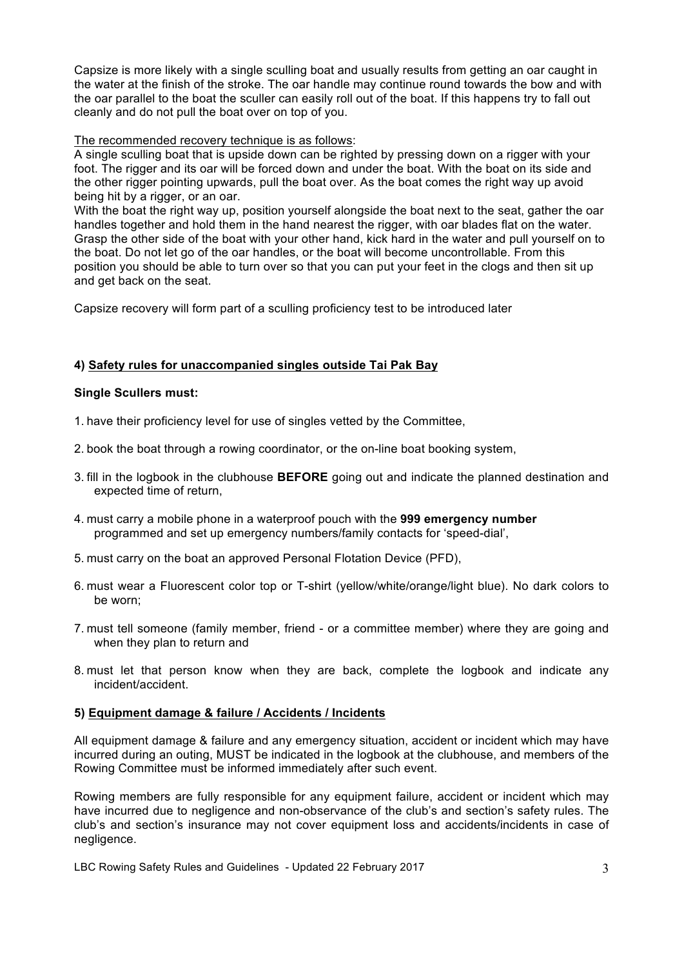Capsize is more likely with a single sculling boat and usually results from getting an oar caught in the water at the finish of the stroke. The oar handle may continue round towards the bow and with the oar parallel to the boat the sculler can easily roll out of the boat. If this happens try to fall out cleanly and do not pull the boat over on top of you.

# The recommended recovery technique is as follows:

A single sculling boat that is upside down can be righted by pressing down on a rigger with your foot. The rigger and its oar will be forced down and under the boat. With the boat on its side and the other rigger pointing upwards, pull the boat over. As the boat comes the right way up avoid being hit by a rigger, or an oar.

With the boat the right way up, position yourself alongside the boat next to the seat, gather the oar handles together and hold them in the hand nearest the rigger, with oar blades flat on the water. Grasp the other side of the boat with your other hand, kick hard in the water and pull yourself on to the boat. Do not let go of the oar handles, or the boat will become uncontrollable. From this position you should be able to turn over so that you can put your feet in the clogs and then sit up and get back on the seat.

Capsize recovery will form part of a sculling proficiency test to be introduced later

# **4) Safety rules for unaccompanied singles outside Tai Pak Bay**

# **Single Scullers must:**

- 1. have their proficiency level for use of singles vetted by the Committee,
- 2. book the boat through a rowing coordinator, or the on-line boat booking system,
- 3. fill in the logbook in the clubhouse **BEFORE** going out and indicate the planned destination and expected time of return,
- 4. must carry a mobile phone in a waterproof pouch with the **999 emergency number**  programmed and set up emergency numbers/family contacts for 'speed-dial',
- 5. must carry on the boat an approved Personal Flotation Device (PFD),
- 6. must wear a Fluorescent color top or T-shirt (yellow/white/orange/light blue). No dark colors to be worn;
- 7. must tell someone (family member, friend or a committee member) where they are going and when they plan to return and
- 8. must let that person know when they are back, complete the logbook and indicate any incident/accident.

# **5) Equipment damage & failure / Accidents / Incidents**

All equipment damage & failure and any emergency situation, accident or incident which may have incurred during an outing, MUST be indicated in the logbook at the clubhouse, and members of the Rowing Committee must be informed immediately after such event.

Rowing members are fully responsible for any equipment failure, accident or incident which may have incurred due to negligence and non-observance of the club's and section's safety rules. The club's and section's insurance may not cover equipment loss and accidents/incidents in case of negligence.